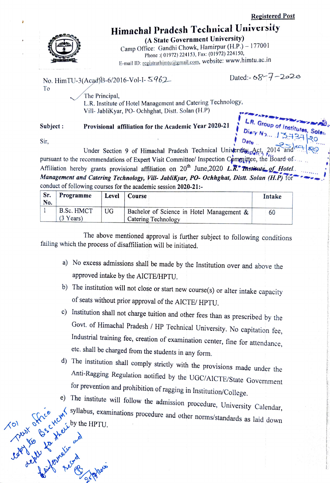## Himachal Pradesh Technical University

(A State Government University) Camp Office: Gandhi Chowk, Hamirpur (H.P.) - 177001 Phone: (01972) 224153, Fax: (01972) 224150, E-mail ID: registrarhimtu@gmail.com, website: www.himtu.ac.in

No. HimTU-3(Acad)B-6/2016-Vol-I- S962

Dated:- $68 - 7 - 2020$ 

Group of Institutes, Solen

The Principal, L.R. Institute of Hotel Management and Catering Technology, Vill- JabliKyar, PO- Ochhghat, Distt. Solan (H.P)

## Subject: Provisional affiliation for the Academic Year 2020-21

Sir,

To

Under Section 9 of Himachal Pradesh Technical University Act, 2014 pursuant to the recommendations of Expert Visit Committee/ Inspection Committee, the Board of Affiliation hereby grants provisional affiliation on  $20^{th}$  June, 2020 L.R. Therefore of Hotel. Management and Catering Technology, Vill- JabliKyar, PO- Ochhghat, Distt. Solan (H.P) for conduct of following courses for the academic session 2020-21:-

| Sr.<br>No. | Programme                         | Level | Course                                                           | Intake |
|------------|-----------------------------------|-------|------------------------------------------------------------------|--------|
|            | B.Sc. HMCT<br>$(3 \text{ Years})$ | UG    | Bachelor of Science in Hotel Management &<br>Catering Technology | 60     |

The above mentioned approval is further subject to following conditions failing which the process of disaffiliation will be initiated.

- a) No excess admissions shall be made by the Institution over and above the approved intake by the AICTE/HPTU.
- b) The institution will not close or start new course(s) or alter intake capacity of seats without prior approval of the AICTE/ HPTU.
- c) Institution shall not charge tuition and other fees than as prescribed by the Govt. of Himachal Pradesh / HP Technical University. No capitation fee, Industrial training fee, creation of examination center, fine for attendance, etc. shall be charged from the students in any form.
- whe UGC/AICTE/State Government<br>
when the UGC/AICTE/State Government<br>
when institute will follow the admission procedure, University Calendar,<br>
The institute will follow the admission procedure, University Calendar,<br>
And th d) The institution shall comply strictly with the provisions made under the
	-